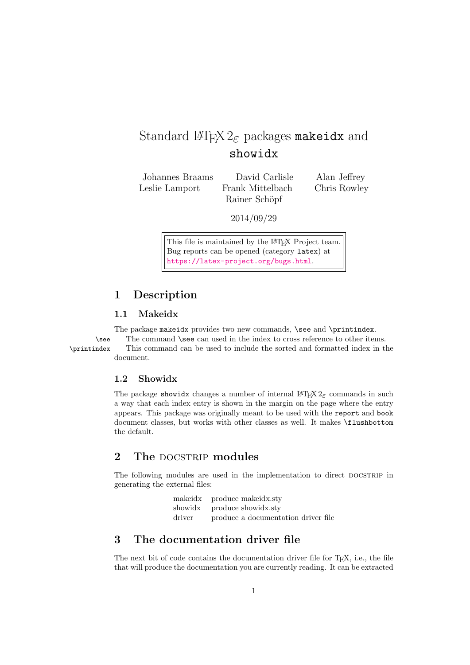# Standard  $\text{LipX2}_{\varepsilon}$  packages makeidx and showidx

Johannes Braams David Carlisle Alan Jeffrey Leslie Lamport Frank Mittelbach Chris Rowley

Rainer Schöpf

2014/09/29

This file is maintained by the L<sup>AT</sup>EX Project team. Bug reports can be opened (category latex) at <https://latex-project.org/bugs.html>.

# 1 Description

### 1.1 Makeidx

The package makeidx provides two new commands, \see and \printindex.

\see The command \see can used in the index to cross reference to other items. \printindex This command can be used to include the sorted and formatted index in the document.

### 1.2 Showidx

The package showidx changes a number of internal  $\mathbb{H}\Gamma\sharp X2_{\varepsilon}$  commands in such a way that each index entry is shown in the margin on the page where the entry appears. This package was originally meant to be used with the report and book document classes, but works with other classes as well. It makes \flushbottom the default.

# 2 The DOCSTRIP modules

The following modules are used in the implementation to direct DOCSTRIP in generating the external files:

|        | makeidx produce makeidx.sty         |
|--------|-------------------------------------|
|        | showidx produce showidx.sty         |
| driver | produce a documentation driver file |

### 3 The documentation driver file

The next bit of code contains the documentation driver file for T<sub>E</sub>X, i.e., the file that will produce the documentation you are currently reading. It can be extracted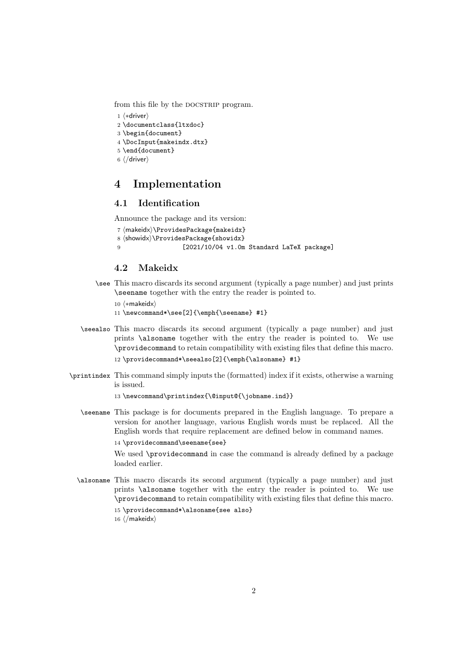from this file by the DOCSTRIP program.

```
1 ⟨∗driver⟩
```
- 2 \documentclass{ltxdoc}
- 3 \begin{document}
- 4 \DocInput{makeindx.dtx}
- 5 \end{document}
- 6 ⟨/driver⟩

### 4 Implementation

### 4.1 Identification

Announce the package and its version:

```
7 ⟨makeidx⟩\ProvidesPackage{makeidx}
8 ⟨showidx⟩\ProvidesPackage{showidx}
9 [2021/10/04 v1.0m Standard LaTeX package]
```
#### 4.2 Makeidx

\see This macro discards its second argument (typically a page number) and just prints \seename together with the entry the reader is pointed to.

10 ⟨∗makeidx⟩

11 \newcommand\*\see[2]{\emph{\seename} #1}

- \seealso This macro discards its second argument (typically a page number) and just prints \alsoname together with the entry the reader is pointed to. We use \providecommand to retain compatibility with existing files that define this macro. 12 \providecommand\*\seealso[2]{\emph{\alsoname} #1}
- \printindex This command simply inputs the (formatted) index if it exists, otherwise a warning is issued.

13 \newcommand\printindex{\@input@{\jobname.ind}}

\seename This package is for documents prepared in the English language. To prepare a version for another language, various English words must be replaced. All the English words that require replacement are defined below in command names.

14 \providecommand\seename{see}

We used \providecommand in case the command is already defined by a package loaded earlier.

- \alsoname This macro discards its second argument (typically a page number) and just prints \alsoname together with the entry the reader is pointed to. We use \providecommand to retain compatibility with existing files that define this macro. 15 \providecommand\*\alsoname{see also}
	- 16 ⟨/makeidx⟩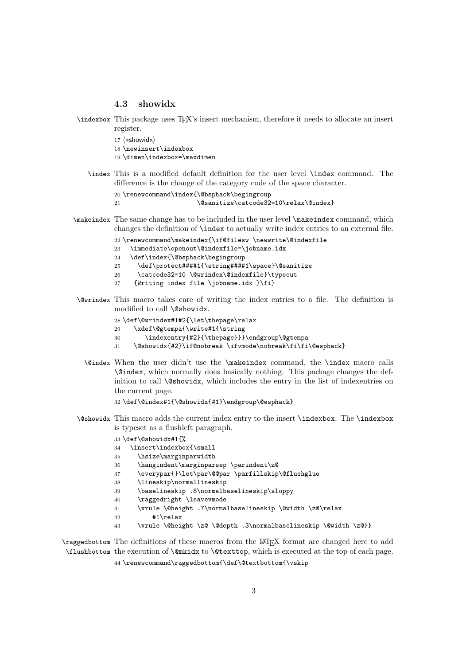#### 4.3 showidx

- \indexbox This package uses TEX's insert mechanism, therefore it needs to allocate an insert register.
	- 17 ⟨∗showidx⟩
	- 18 \newinsert\indexbox
	- 19 \dimen\indexbox=\maxdimen
	- \index This is a modified default definition for the user level \index command. The difference is the change of the category code of the space character.

```
20 \renewcommand\index{\@bsphack\begingroup
21 \@sanitize\catcode32=10\relax\@index}
```
\makeindex The same change has to be included in the user level \makeindex command, which changes the definition of \index to actually write index entries to an external file.

```
22 \renewcommand\makeindex{\if@filesw \newwrite\@indexfile
```
- 23 \immediate\openout\@indexfile=\jobname.idx
- 24 \def\index{\@bsphack\begingroup
- 25 \def\protect####1{\string####1\space}\@sanitize
- 26 \catcode32=10 \@wrindex\@indexfile}\typeout
- 27 {Writing index file \jobname.idx }\fi}
- \@wrindex This macro takes care of writing the index entries to a file. The definition is modified to call \@showidx.

```
28 \def\@wrindex#1#2{\let\thepage\relax
```
- 29 \xdef\@gtempa{\write#1{\string
- 30 \indexentry{#2}{\thepage}}}\endgroup\@gtempa
- 31 \@showidx{#2}\if@nobreak \ifvmode\nobreak\fi\fi\@esphack}
- \@index When the user didn't use the \makeindex command, the \index macro calls \@index, which normally does basically nothing. This package changes the definition to call \@showidx, which includes the entry in the list of indexentries on the current page.
	- 32 \def\@index#1{\@showidx{#1}\endgroup\@esphack}
- \@showidx This macro adds the current index entry to the insert \indexbox. The \indexbox is typeset as a flushleft paragraph.
	- 33 \def\@showidx#1{%
	- 34 \insert\indexbox{\small
	- 35 \hsize\marginparwidth
	- 36 \hangindent\marginparsep \parindent\z@
	- 37 \everypar{}\let\par\@@par \parfillskip\@flushglue
	- 38 \lineskip\normallineskip
	- 39 \baselineskip .8\normalbaselineskip\sloppy
	- 40 \raggedright \leavevmode
	- 41 \vrule \@height .7\normalbaselineskip \@width \z@\relax
	- $42$  #1\relax
	- 43 \vrule \@height \z@ \@depth .3\normalbaselineskip \@width \z@}}

\raggedbottom The definitions of these macros from the LATEX format are changed here to add \flushbottom the execution of \@mkidx to \@texttop, which is executed at the top of each page.

44 \renewcommand\raggedbottom{\def\@textbottom{\vskip